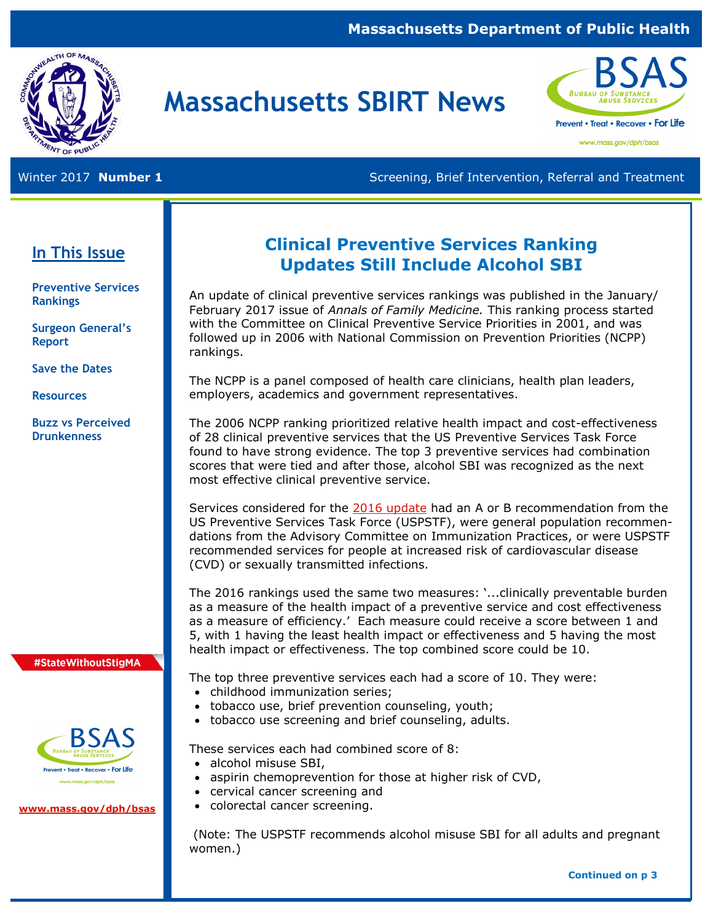#### **Massachusetts Department of Public Health**



# **Massachusetts SBIRT News**



www.mass.gov/dph/bsas

Winter 2017 **Number 1 Screening, Brief Intervention, Referral and Treatment** Screening, Brief Intervention, Referral and Treatment

#### **In This Issue**

**Preventive Services Rankings**

**Surgeon General's Report** 

**Save the Dates**

**Resources**

**Buzz vs Perceived Drunkenness**

### **Clinical Preventive Services Ranking Updates Still Include Alcohol SBI**

An update of clinical preventive services rankings was published in the January/ February 2017 issue of *Annals of Family Medicine.* This ranking process started with the Committee on Clinical Preventive Service Priorities in 2001, and was followed up in 2006 with National Commission on Prevention Priorities (NCPP) rankings.

The NCPP is a panel composed of health care clinicians, health plan leaders, employers, academics and government representatives.

The 2006 NCPP ranking prioritized relative health impact and cost-effectiveness of 28 clinical preventive services that the US Preventive Services Task Force found to have strong evidence. The top 3 preventive services had combination scores that were tied and after those, alcohol SBI was recognized as the next most effective clinical preventive service.

Services considered for the [2016 update](http://www.annfammed.org/content/15/1/14) had an A or B recommendation from the US Preventive Services Task Force (USPSTF), were general population recommendations from the Advisory Committee on Immunization Practices, or were USPSTF recommended services for people at increased risk of cardiovascular disease (CVD) or sexually transmitted infections.

The 2016 rankings used the same two measures: '...clinically preventable burden as a measure of the health impact of a preventive service and cost effectiveness as a measure of efficiency.' Each measure could receive a score between 1 and 5, with 1 having the least health impact or effectiveness and 5 having the most health impact or effectiveness. The top combined score could be 10.

The top three preventive services each had a score of 10. They were:

- childhood immunization series;
- tobacco use, brief prevention counseling, youth;
- tobacco use screening and brief counseling, adults.

These services each had combined score of 8:

- alcohol misuse SBI,
- aspirin chemoprevention for those at higher risk of CVD,
- cervical cancer screening and
- colorectal cancer screening.

(Note: The USPSTF recommends alcohol misuse SBI for all adults and pregnant women.)

**BSAS** revent • Treat • Recover • For Life

#StateWithoutStigMA

**[www.mass.gov/dph/bsas](http://www.mass.gov/dph/bsas)**

 **Continued on p 3**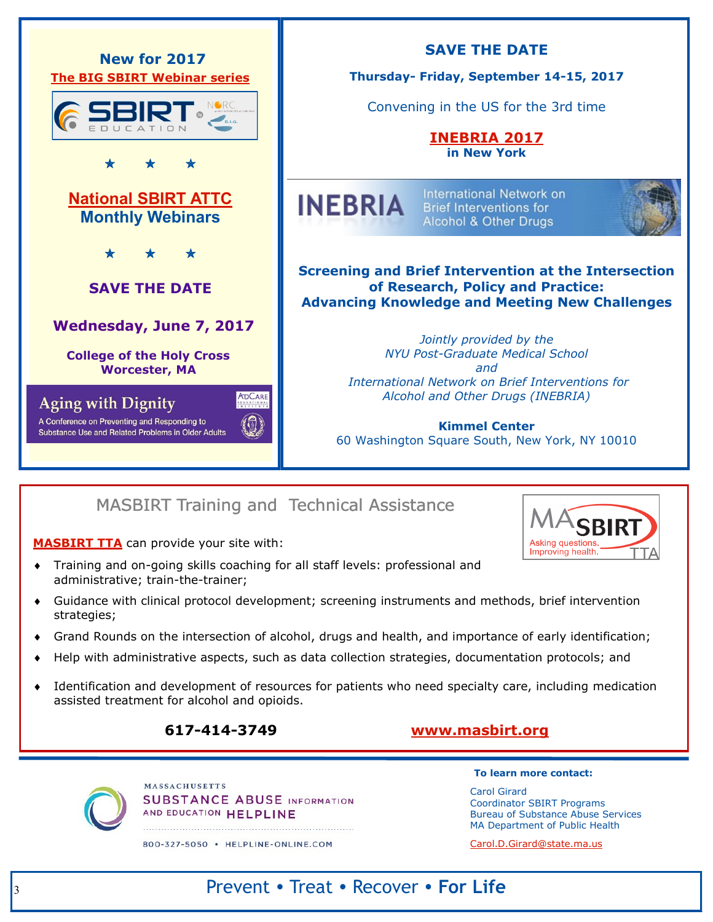

### MASBIRT Training and Technical Assistance

**[MASBIRT TTA](http://www.masbirt.org/)** can provide your site with:

- Training and on-going skills coaching for all staff levels: professional and administrative; train-the-trainer;
- Guidance with clinical protocol development; screening instruments and methods, brief intervention strategies;
- Grand Rounds on the intersection of alcohol, drugs and health, and importance of early identification;
- Help with administrative aspects, such as data collection strategies, documentation protocols; and
- Identification and development of resources for patients who need specialty care, including medication assisted treatment for alcohol and opioids.

### **617-414-3749 [www.masbirt.org](http://www.masbirt.org/)**

**MASSACHUSETTS SUBSTANCE ABUSE INFORMATION** AND EDUCATION HELPLINE

800-327-5050 · HELPLINE-ONLINE.COM

#### **To learn more contact:**

Carol Girard Coordinator SBIRT Programs Bureau of Substance Abuse Services MA Department of Public Health

[Carol.D.Girard@state.ma.us](mailto:%20Carol.D.Girard@state.ma.us)

### Prevent • Treat • Recover • **For Life**

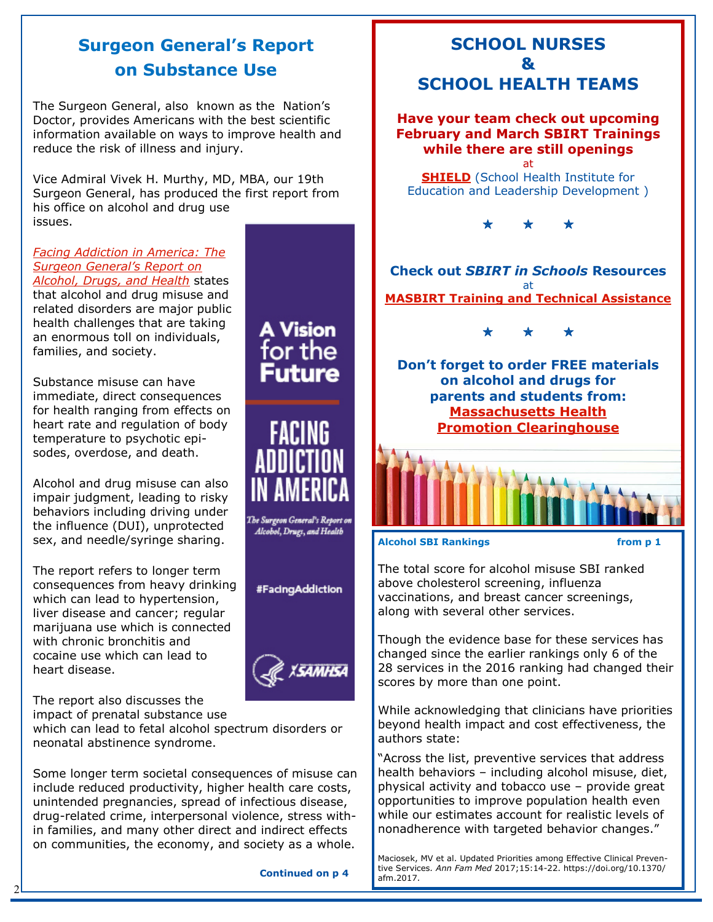### **Surgeon General's Report on Substance Use**

The Surgeon General, also known as the Nation's Doctor, provides Americans with the best scientific information available on ways to improve health and reduce the risk of illness and injury.

Vice Admiral Vivek H. Murthy, MD, MBA, our 19th Surgeon General, has produced the first report from his office on alcohol and drug use issues.

#### *[Facing Addiction in America: The](https://addiction.surgeongeneral.gov/)  [Surgeon General's Report on](https://addiction.surgeongeneral.gov/)  [Alcohol, Drugs, and Health](https://addiction.surgeongeneral.gov/)* states that alcohol and drug misuse and

related disorders are major public health challenges that are taking an enormous toll on individuals, families, and society.

Substance misuse can have immediate, direct consequences for health ranging from effects on heart rate and regulation of body temperature to psychotic episodes, overdose, and death.

Alcohol and drug misuse can also impair judgment, leading to risky behaviors including driving under the influence (DUI), unprotected sex, and needle/syringe sharing.

The report refers to longer term consequences from heavy drinking which can lead to hypertension, liver disease and cancer; regular marijuana use which is connected with chronic bronchitis and cocaine use which can lead to heart disease.

The report also discusses the impact of prenatal substance use

2

which can lead to fetal alcohol spectrum disorders or neonatal abstinence syndrome.

Some longer term societal consequences of misuse can include reduced productivity, higher health care costs, unintended pregnancies, spread of infectious disease, drug-related crime, interpersonal violence, stress within families, and many other direct and indirect effects on communities, the economy, and society as a whole.

 **Continued on p 4**

FACING



"Across the list, preventive services that address health behaviors – including alcohol misuse, diet, physical activity and tobacco use – provide great opportunities to improve population health even while our estimates account for realistic levels of nonadherence with targeted behavior changes."

Maciosek, MV et al. Updated Priorities among Effective Clinical Preventive Services*. Ann Fam Med* 2017;15:14-22. https://doi.org/10.1370/ afm.2017.